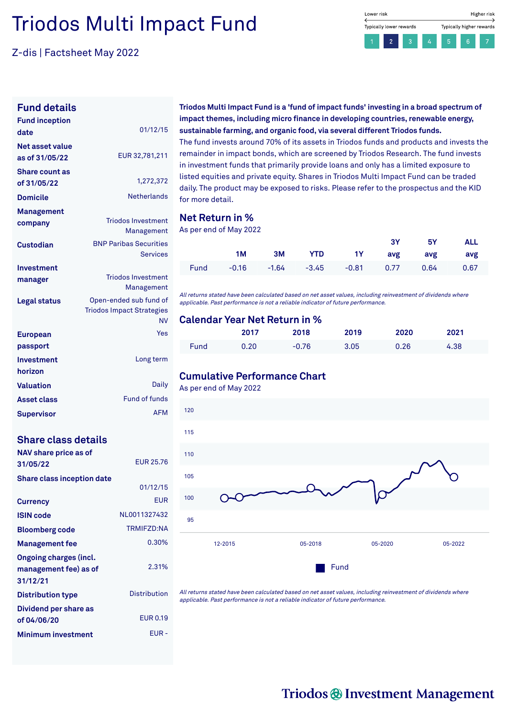# Triodos Multi Impact Fund

Z-dis | Factsheet May 2022

| <b>Fund inception</b>  | 01/12/15                         |
|------------------------|----------------------------------|
| date                   |                                  |
| <b>Net asset value</b> | EUR 32,781,211                   |
| as of 31/05/22         |                                  |
| <b>Share count as</b>  |                                  |
| of 31/05/22            | 1,272,372                        |
| <b>Domicile</b>        | <b>Netherlands</b>               |
| Management             |                                  |
| company                | <b>Triodos Investment</b>        |
|                        | Management                       |
| <b>Custodian</b>       | <b>BNP Paribas Securities</b>    |
|                        | <b>Services</b>                  |
| Investment             |                                  |
| manager                | <b>Triodos Investment</b>        |
|                        | Management                       |
| Legal status           | Open-ended sub fund of           |
|                        | <b>Triodos Impact Strategies</b> |
|                        | NV                               |
| <b>European</b>        | Yes                              |
| passport               |                                  |
| Investment             | Long term                        |
| horizon                |                                  |
| <b>Valuation</b>       | Daily                            |
| <b>Asset class</b>     | Fund of funds                    |
| Supervisor             | <b>AFM</b>                       |

#### **Share class details**

| NAV share price as of             |                     |
|-----------------------------------|---------------------|
| 31/05/22                          | EUR 25.76           |
| <b>Share class inception date</b> |                     |
|                                   | 01/12/15            |
| <b>Currency</b>                   | <b>EUR</b>          |
| <b>ISIN code</b>                  | NI 0011327432       |
| <b>Bloomberg code</b>             | <b>TRMIFZD:NA</b>   |
| <b>Management fee</b>             | 0.30%               |
| Ongoing charges (incl.            |                     |
| management fee) as of             | 2.31%               |
| 31/12/21                          |                     |
| <b>Distribution type</b>          | <b>Distribution</b> |
| Dividend per share as             |                     |
| of 04/06/20                       | <b>FUR0.19</b>      |
| <b>Minimum investment</b>         | FUR-                |

**Triodos Multi Impact Fund is a 'fund of impact funds' investing in a broad spectrum of impact themes, including micro finance in developing countries, renewable energy, sustainable farming, and organic food, via several different Triodos funds.**

The fund invests around 70% of its assets in Triodos funds and products and invests the remainder in impact bonds, which are screened by Triodos Research. The fund invests in investment funds that primarily provide loans and only has a limited exposure to listed equities and private equity. Shares in Triodos Multi Impact Fund can be traded daily. The product may be exposed to risks. Please refer to the prospectus and the KID for more detail.

#### **Net Return in %**

As per end of May 2022

|  |  |                                             | 3Y 5Y ALL |  |
|--|--|---------------------------------------------|-----------|--|
|  |  | 1M 3M YTD 1Y avg avg avg                    |           |  |
|  |  | Fund -0.16 -1.64 -3.45 -0.81 0.77 0.64 0.67 |           |  |

All returns stated have been calculated based on net asset values, including reinvestment of dividends where applicable. Past performance is not <sup>a</sup> reliable indicator of future performance.

#### **Calendar Year Net Return in %**

|      | 2017 | 2018    | 2019 | 2020 | 2021 |  |
|------|------|---------|------|------|------|--|
| Fund | 0.20 | $-0.76$ | 3.05 | 0.26 | 4.38 |  |

#### **Cumulative Performance Chart**

As per end of May 2022



All returns stated have been calculated based on net asset values, including reinvestment of dividends where applicable. Past performance is not <sup>a</sup> reliable indicator of future performance.

#### Lower risk Higher risk Typically lower rewards Typically higher rewards  $\overline{2}$

## Triodos @ Investment Management